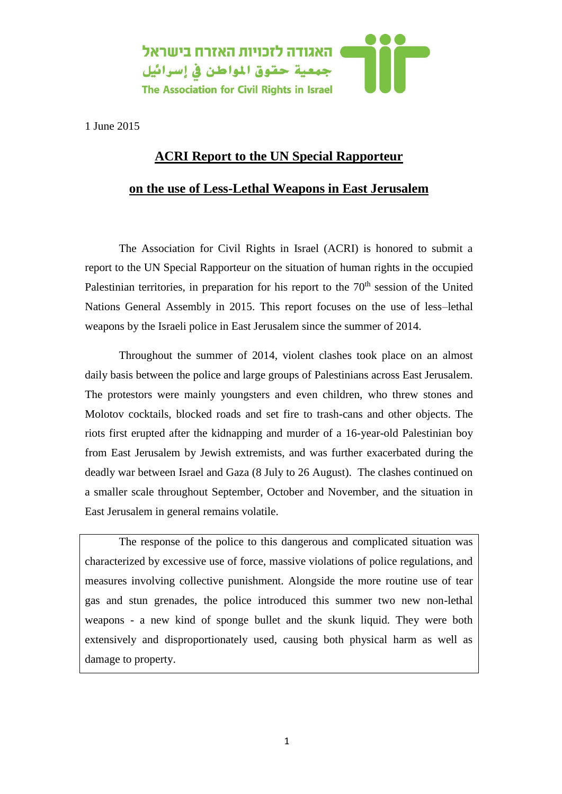

1 June 2015

## **ACRI Report to the UN Special Rapporteur**

## **on the use of Less-Lethal Weapons in East Jerusalem**

The Association for Civil Rights in Israel (ACRI) is honored to submit a report to the UN Special Rapporteur on the situation of human rights in the occupied Palestinian territories, in preparation for his report to the 70<sup>th</sup> session of the United Nations General Assembly in 2015. This report focuses on the use of less–lethal weapons by the Israeli police in East Jerusalem since the summer of 2014.

Throughout the summer of 2014, violent clashes took place on an almost daily basis between the police and large groups of Palestinians across East Jerusalem. The protestors were mainly youngsters and even children, who threw stones and Molotov cocktails, blocked roads and set fire to trash-cans and other objects. The riots first erupted after the kidnapping and murder of a 16-year-old Palestinian boy from East Jerusalem by Jewish extremists, and was further exacerbated during the deadly war between Israel and Gaza (8 July to 26 August). The clashes continued on a smaller scale throughout September, October and November, and the situation in East Jerusalem in general remains volatile.

The response of the police to this dangerous and complicated situation was characterized by excessive use of force, massive violations of police regulations, and measures involving collective punishment. Alongside the more routine use of tear gas and stun grenades, the police introduced this summer two new non-lethal weapons - a new kind of sponge bullet and the skunk liquid. They were both extensively and disproportionately used, causing both physical harm as well as damage to property.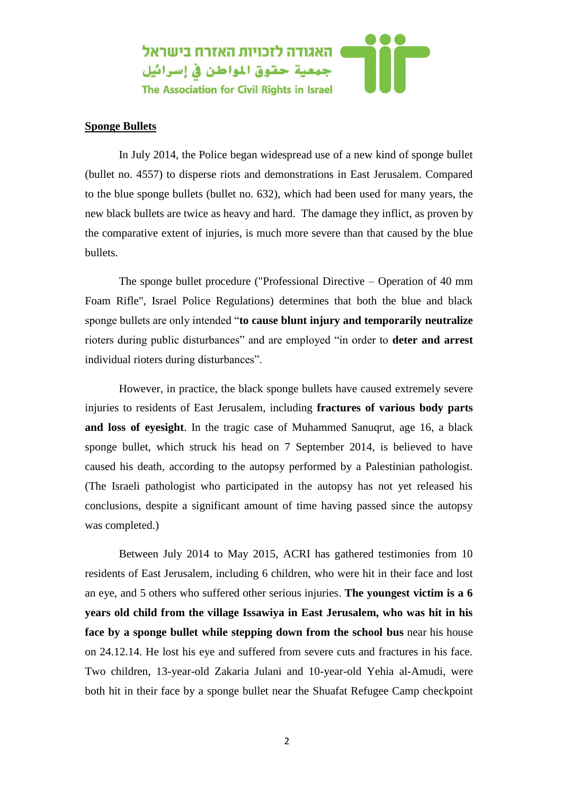

## **Sponge Bullets**

In July 2014, the Police began widespread use of a new kind of sponge bullet (bullet no. 4557) to disperse riots and demonstrations in East Jerusalem. Compared to the blue sponge bullets (bullet no. 632), which had been used for many years, the new black bullets are twice as heavy and hard. The damage they inflict, as proven by the comparative extent of injuries, is much more severe than that caused by the blue bullets.

The sponge bullet procedure ("Professional Directive – Operation of 40 mm Foam Rifle", Israel Police Regulations) determines that both the blue and black sponge bullets are only intended "**to cause blunt injury and temporarily neutralize** rioters during public disturbances" and are employed "in order to **deter and arrest**  individual rioters during disturbances".

However, in practice, the black sponge bullets have caused extremely severe injuries to residents of East Jerusalem, including **fractures of various body parts and loss of eyesight**. In the tragic case of Muhammed Sanuqrut, age 16, a black sponge bullet, which struck his head on 7 September 2014, is believed to have caused his death, according to the autopsy performed by a Palestinian pathologist. (The Israeli pathologist who participated in the autopsy has not yet released his conclusions, despite a significant amount of time having passed since the autopsy was completed.)

Between July 2014 to May 2015, ACRI has gathered testimonies from 10 residents of East Jerusalem, including 6 children, who were hit in their face and lost an eye, and 5 others who suffered other serious injuries. **The youngest victim is a 6 years old child from the village Issawiya in East Jerusalem, who was hit in his face by a sponge bullet while stepping down from the school bus** near his house on 24.12.14. He lost his eye and suffered from severe cuts and fractures in his face. Two children, 13-year-old Zakaria Julani and 10-year-old Yehia al-Amudi, were both hit in their face by a sponge bullet near the Shuafat Refugee Camp checkpoint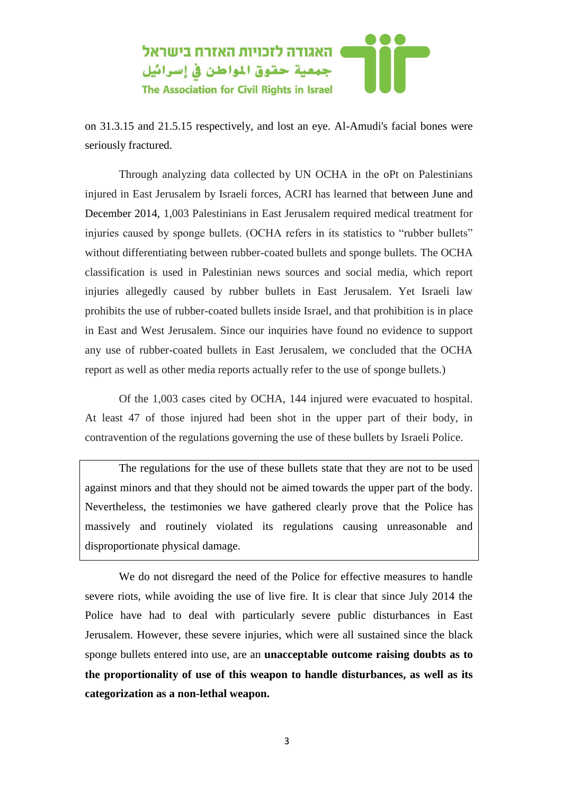

on 31.3.15 and 21.5.15 respectively, and lost an eye. Al-Amudi's facial bones were seriously fractured.

Through analyzing data collected by UN OCHA in the oPt on Palestinians injured in East Jerusalem by Israeli forces, ACRI has learned that between June and December 2014, 1,003 Palestinians in East Jerusalem required medical treatment for injuries caused by sponge bullets. (OCHA refers in its statistics to "rubber bullets" without differentiating between rubber-coated bullets and sponge bullets. The OCHA classification is used in Palestinian news sources and social media, which report injuries allegedly caused by rubber bullets in East Jerusalem. Yet Israeli law prohibits the use of rubber-coated bullets inside Israel, and that prohibition is in place in East and West Jerusalem. Since our inquiries have found no evidence to support any use of rubber-coated bullets in East Jerusalem, we concluded that the OCHA report as well as other media reports actually refer to the use of sponge bullets.)

Of the 1,003 cases cited by OCHA, 144 injured were evacuated to hospital. At least 47 of those injured had been shot in the upper part of their body, in contravention of the regulations governing the use of these bullets by Israeli Police.

The regulations for the use of these bullets state that they are not to be used against minors and that they should not be aimed towards the upper part of the body. Nevertheless, the testimonies we have gathered clearly prove that the Police has massively and routinely violated its regulations causing unreasonable and disproportionate physical damage.

We do not disregard the need of the Police for effective measures to handle severe riots, while avoiding the use of live fire. It is clear that since July 2014 the Police have had to deal with particularly severe public disturbances in East Jerusalem. However, these severe injuries, which were all sustained since the black sponge bullets entered into use, are an **unacceptable outcome raising doubts as to the proportionality of use of this weapon to handle disturbances, as well as its categorization as a non-lethal weapon.**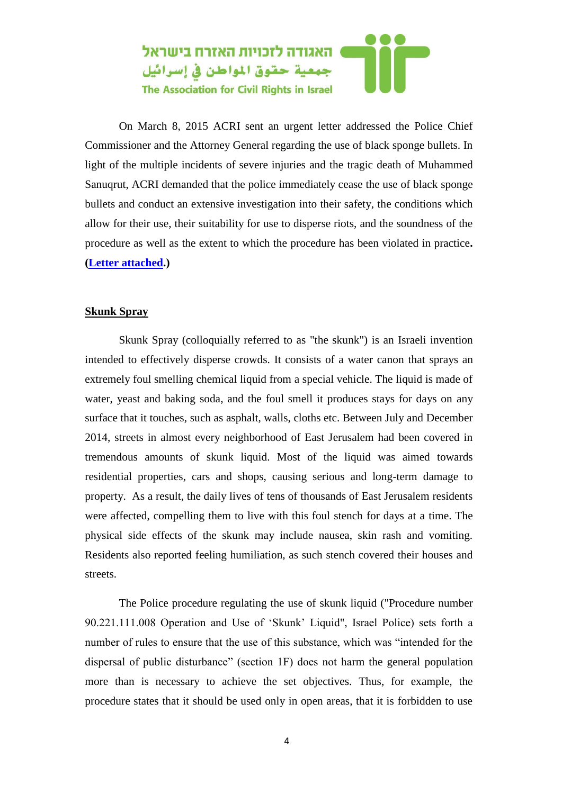

On March 8, 2015 ACRI sent an urgent letter addressed the Police Chief Commissioner and the Attorney General regarding the use of black sponge bullets. In light of the multiple incidents of severe injuries and the tragic death of Muhammed Sanuqrut, ACRI demanded that the police immediately cease the use of black sponge bullets and conduct an extensive investigation into their safety, the conditions which allow for their use, their suitability for use to disperse riots, and the soundness of the procedure as well as the extent to which the procedure has been violated in practice**. [\(Letter attached.](http://www.acri.org.il/en/wp-content/uploads/2015/05/EJ-Black-Bullets-Letter-March-2015.pdf))**

## **Skunk Spray**

Skunk Spray (colloquially referred to as "the skunk") is an Israeli invention intended to effectively disperse crowds. It consists of a water canon that sprays an extremely foul smelling chemical liquid from a special vehicle. The liquid is made of water, yeast and baking soda, and the foul smell it produces stays for days on any surface that it touches, such as asphalt, walls, cloths etc. Between July and December 2014, streets in almost every neighborhood of East Jerusalem had been covered in tremendous amounts of skunk liquid. Most of the liquid was aimed towards residential properties, cars and shops, causing serious and long-term damage to property. As a result, the daily lives of tens of thousands of East Jerusalem residents were affected, compelling them to live with this foul stench for days at a time. The physical side effects of the skunk may include nausea, skin rash and vomiting. Residents also reported feeling humiliation, as such stench covered their houses and streets.

The Police procedure regulating the use of skunk liquid ("Procedure number 90.221.111.008 Operation and Use of 'Skunk' Liquid", Israel Police) sets forth a number of rules to ensure that the use of this substance, which was "intended for the dispersal of public disturbance" (section 1F) does not harm the general population more than is necessary to achieve the set objectives. Thus, for example, the procedure states that it should be used only in open areas, that it is forbidden to use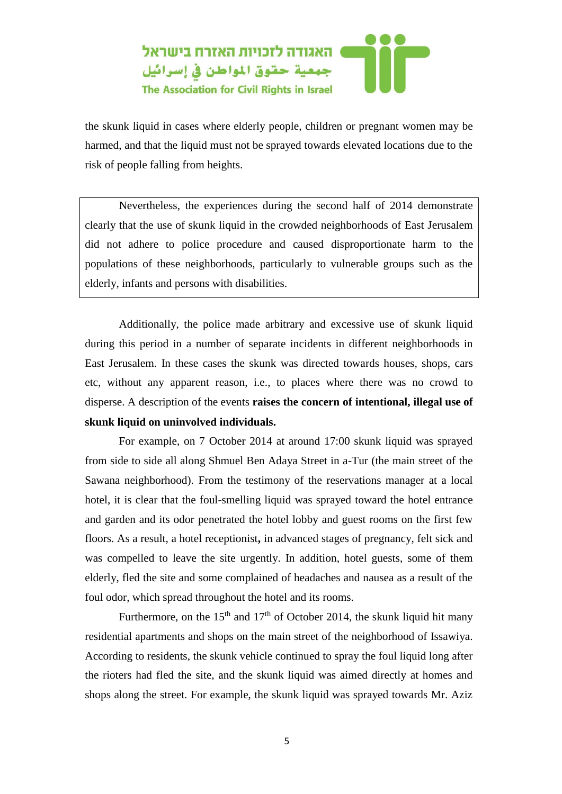

the skunk liquid in cases where elderly people, children or pregnant women may be harmed, and that the liquid must not be sprayed towards elevated locations due to the risk of people falling from heights.

Nevertheless, the experiences during the second half of 2014 demonstrate clearly that the use of skunk liquid in the crowded neighborhoods of East Jerusalem did not adhere to police procedure and caused disproportionate harm to the populations of these neighborhoods, particularly to vulnerable groups such as the elderly, infants and persons with disabilities.

Additionally, the police made arbitrary and excessive use of skunk liquid during this period in a number of separate incidents in different neighborhoods in East Jerusalem. In these cases the skunk was directed towards houses, shops, cars etc, without any apparent reason, i.e., to places where there was no crowd to disperse. A description of the events **raises the concern of intentional, illegal use of skunk liquid on uninvolved individuals.** 

For example, on 7 October 2014 at around 17:00 skunk liquid was sprayed from side to side all along Shmuel Ben Adaya Street in a-Tur (the main street of the Sawana neighborhood). From the testimony of the reservations manager at a local hotel, it is clear that the foul-smelling liquid was sprayed toward the hotel entrance and garden and its odor penetrated the hotel lobby and guest rooms on the first few floors. As a result, a hotel receptionist**,** in advanced stages of pregnancy, felt sick and was compelled to leave the site urgently. In addition, hotel guests, some of them elderly, fled the site and some complained of headaches and nausea as a result of the foul odor, which spread throughout the hotel and its rooms.

Furthermore, on the 15<sup>th</sup> and 17<sup>th</sup> of October 2014, the skunk liquid hit many residential apartments and shops on the main street of the neighborhood of Issawiya. According to residents, the skunk vehicle continued to spray the foul liquid long after the rioters had fled the site, and the skunk liquid was aimed directly at homes and shops along the street. For example, the skunk liquid was sprayed towards Mr. Aziz